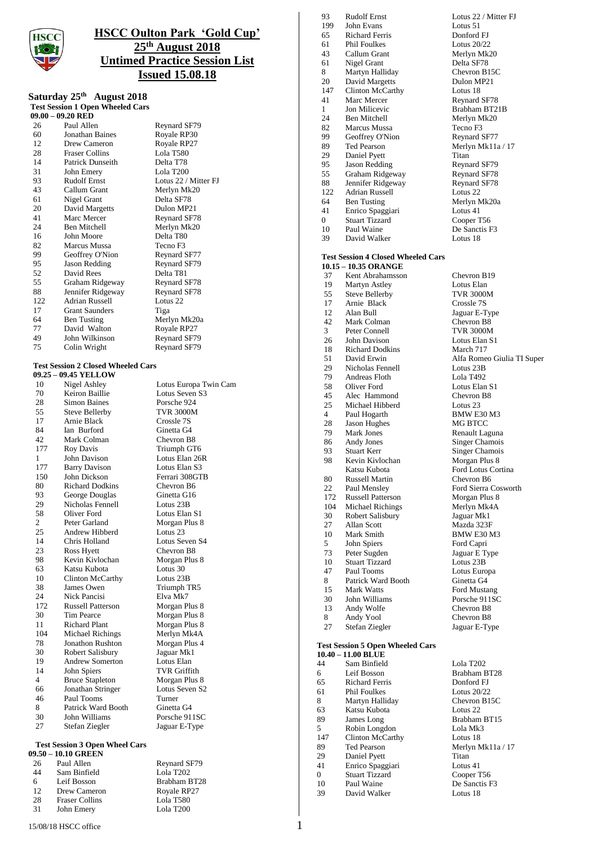

# **HSCC Oulton Park 'Gold Cup' 25 th August 2018 Untimed Practice Session List Issued 15.08.18**

## **Saturday 25 th August 2018 Test Session 1 Open Wheeled Cars**

**09.00 – 09.20 RED** 26 Paul Allen Reynard SF79<br>60 Jonathan Baines Royale RP30 60 Jonathan Baines Royale RP30<br>12 Drew Cameron Royale RP27 12 Drew Cameron Royale RP<br>28 Fraser Collins Lola T580 28 Fraser Collins Lola T580<br>14 Patrick Dunseith Delta T78 14 Patrick Dunseith Delta T78<br>
31 John Emery Lola T200 31 John Emery<br>93 Rudolf Ernst 93 Rudolf Ernst Lotus 22 / Mitter FJ<br>43 Callum Grant Merlyn Mk20 43 Callum Grant Merlyn Mk20<br>61 Nigel Grant Delta SF78 61 Nigel Grant Delta SF78<br>20 David Margetts Dulon MP21 20 David Margetts<br>41 Marc Mercer Marc Mercer Reynard SF78<br>Ben Mitchell Merlyn Mk20 24 Ben Mitchell Merlyn Mk20<br>16 John Moore Delta T80 16 John Moore<br>82 Marcus Mussa Tecno F3 82 Marcus Mussa Tecno F3<br>99 Geoffrey O'Nion Revnard SF77 99 Geoffrey O'Nion<br>95 Jason Redding 95 Jason Redding Reynard SF79<br>52 David Rees Delta T81 52 David Rees Delta T81<br>55 Graham Ridgeway Reynard SF78 55 Graham Ridgeway Reynard SF78<br>88 Jennifer Ridgeway Reynard SF78 88 Jennifer Ridgeway Reynard<br>122 Adrian Russell Lotus 22 122 Adrian Russell<br>17 Grant Saunders 17 Grant Saunders Tiga 64 Ben Tusting Merlyn Mk20a 77 David Walton Royale RP27<br>49 John Wilkinson Reynard SF79 49 John Wilkinson Reynard SF79<br>
75 Colin Wright Reynard SF79 Reynard SF79

#### **Test Session 2 Closed Wheeled Cars**

|                | 09.25 - 09.45 YELLOW           |                       |
|----------------|--------------------------------|-----------------------|
| 10             | Nigel Ashley                   | Lotus Europa Twin Cam |
| 70             | Keiron Baillie                 | Lotus Seven S3        |
| 28             | <b>Simon Baines</b>            | Porsche 924           |
| 55             | <b>Steve Bellerby</b>          | <b>TVR 3000M</b>      |
| 17             | Arnie Black                    | Crossle 7S            |
| 84             | Ian Burford                    | Ginetta G4            |
| 42             | Mark Colman                    | Chevron B8            |
| 177            | <b>Roy Davis</b>               | Triumph GT6           |
| $\mathbf{1}$   | John Davison                   | Lotus Elan 26R        |
| 177            | <b>Barry Davison</b>           | Lotus Elan S3         |
| 150            | John Dickson                   | Ferrari 308GTB        |
| 80             | <b>Richard Dodkins</b>         | Chevron B6            |
| 93             | George Douglas                 | Ginetta G16           |
| 29             | Nicholas Fennell               | Lotus 23B             |
| 58             | Oliver Ford                    | Lotus Elan S1         |
| $\overline{2}$ | Peter Garland                  | Morgan Plus 8         |
| 25             | Andrew Hibberd                 | Lotus 23              |
| 14             | Chris Holland                  | Lotus Seven S4        |
| 23             | Ross Hyett                     | Chevron B8            |
| 98             | Kevin Kivlochan                | Morgan Plus 8         |
| 63             | Katsu Kubota                   | Lotus 30              |
| 10             | <b>Clinton McCarthy</b>        | Lotus 23B             |
| 38             | James Owen                     | Triumph TR5           |
| 24             | Nick Pancisi                   | Elva Mk7              |
| 172            | <b>Russell Patterson</b>       | Morgan Plus 8         |
| 30             | Tim Pearce                     | Morgan Plus 8         |
| 11             | <b>Richard Plant</b>           | Morgan Plus 8         |
| 104            | <b>Michael Richings</b>        | Merlyn Mk4A           |
| 78             | <b>Jonathon Rushton</b>        | Morgan Plus 4         |
| 30             | Robert Salisbury               | Jaguar Mk1            |
| 19             | <b>Andrew Somerton</b>         | Lotus Elan            |
| 14             | John Spiers                    | <b>TVR Griffith</b>   |
| 4              | <b>Bruce Stapleton</b>         | Morgan Plus 8         |
| 66             | Jonathan Stringer              | Lotus Seven S2        |
| 46             | Paul Tooms                     | Turner                |
| 8              | Patrick Ward Booth             | Ginetta G4            |
| 30             | John Williams                  | Porsche 911SC         |
| 27             | Stefan Ziegler                 | Jaguar E-Type         |
|                | Test Session 3 Onen Wheel Cars |                       |

### **Test Session 3 Open Wheel Cars**

|     | 09.50 – 10.10 GREEN   |                       |
|-----|-----------------------|-----------------------|
| 26  | Paul Allen            | Reynard SF79          |
| 44  | Sam Binfield          | Lola T <sub>202</sub> |
| 6   | Leif Bosson           | Brabham BT28          |
| 12. | Drew Cameron          | Royale RP27           |
| 28  | <b>Fraser Collins</b> | Lola T580             |
| 31  | John Emery            | Lola T200             |

|                | 13.000.000 LADISL                         | LOUGS 44.1.     |
|----------------|-------------------------------------------|-----------------|
| 199            | John Evans                                | Lotus 51        |
| 65             | <b>Richard Ferris</b>                     | Donford F.      |
| 61             | <b>Phil Foulkes</b>                       | Lotus 20/2      |
| 43             | Callum Grant                              | Merlyn Ml       |
| 61             | Nigel Grant                               | Delta SF78      |
| 8              | Martyn Halliday                           | Chevron B       |
| 20             | David Margetts                            | Dulon MP.       |
| 147            | Clinton McCarthy                          | Lotus 18        |
| 41             | Marc Mercer                               | Reynard SI      |
| $\mathbf{1}$   | Jon Milicevic                             | Brabham E       |
| 24             | <b>Ben Mitchell</b>                       | Merlyn Ml       |
| 82             | <b>Marcus Mussa</b>                       | Tecno F3        |
| 99             | Geoffrey O'Nion                           | Reynard SI      |
| 89             | <b>Ted Pearson</b>                        | Merlyn Ml       |
| 29             | Daniel Pyett                              | Titan           |
| 95             | Jason Redding                             | Reynard SI      |
| 55             | Graham Ridgeway                           | Reynard SI      |
| 88             | Jennifer Ridgeway                         | Reynard SI      |
| 122            | <b>Adrian Russell</b>                     | Lotus 22        |
| 64             | <b>Ben Tusting</b>                        | Merlyn Ml       |
| 41             | Enrico Spaggiari                          | Lotus 41        |
| $\overline{0}$ | <b>Stuart Tizzard</b>                     | Cooper T5       |
| 10             | Paul Waine                                | De Sanctis      |
| 39             | David Walker                              | Lotus 18        |
|                | <b>Test Session 4 Closed Wheeled Cars</b> |                 |
|                | 10.15 - 10.35 ORANGE                      |                 |
| 37             | Kent Abrahamsson                          | Chevron B       |
| 19             | Martyn Astley                             | Lotus Elan      |
| 55             | <b>Steve Bellerby</b>                     | <b>TVR 3000</b> |
| 17             | Arnie Black                               | Crossle 7S      |
| 12             | Alan Bull                                 | Jaguar E-T      |

12 Alan Bull Jaguar E-Type<br>42 Mark Colman Chevron B8 Mark Colman<br>Peter Connell 3 Peter Connell TVR 3000M 26 John Davison Lotus Elan S1<br>18 Richard Dodkins March 717 18 Richard Dodkins<br>51 David Erwin 51 David Erwin Alfa Romeo Giulia TI Super<br>29 Nicholas Fennell Lotus 23B 29 Nicholas Fennell Lotus 23B<br>
79 Andreas Floth Lola T492 79 Andreas Floth<br>58 Oliver Ford 58 Oliver Ford Lotus Elan S1<br>45 Alec Hammond Chevron B8 45 Alec Hammond<br>25 Michael Hibberd 25 Michael Hibberd Lotus 23<br>4 Paul Hogarth BMW E30 M3 4 Paul Hogarth BMW E30<br>
28 Jason Hughes MG BTCC 28 Jason Hughes<br>79 Mark Jones 86 Andy Jones Singer Chamois 93 Stuart Kerr Singer Chamois<br>98 Kevin Kivlochan Morgan Plus 8 98 Kevin Kivlochan Morgan Plus 8 Katsu Kubota Ford Lotus Cortina 80 Russell Martin<br>22 Paul Mensley 172 Russell Patterson Morgan Plus 8 104 Michael Richings Merlyn Mk4A<br>
109 Robert Salisbury Jaguar Mk1 30 Robert Salisbury<br>27 Allan Scott 10 Mark Smith BMW E30 M3<br>5 John Spiers Ford Capri John Spiers 73 Peter Sugden Jaguar E Type<br>10 Stuart Tizzard Lotus 23B 10 Stuart Tizzard 47 Paul Tooms Lotus Europa<br>8 Patrick Ward Booth Ginetta G4 Patrick Ward Booth<br>Mark Watts 15 Mark Watts **Ford Mustang**<br>
16 John Williams Porsche 911SC 30 John Williams Porsche 911<br>13 Andy Wolfe Chevron B8 Andy Wolfe Chevron B8<br>
Andy Yool Chevron B8 8 Andy Yool 27 Stefan Ziegler Jaguar E-Type

#### **Test Session 5 Open Wheeled Cars 10.40 – 11.00 BLUE**

| 44  | Sam Binfield          | Lola T202                 |
|-----|-----------------------|---------------------------|
| 6   | Leif Bosson           | Brabham BT28              |
| 65  | <b>Richard Ferris</b> | Donford FJ                |
| 61  | <b>Phil Foulkes</b>   | Lotus $20/22$             |
| 8   | Martyn Halliday       | Chevron B <sub>15</sub> C |
| 63  | Katsu Kubota          | Lotus 22                  |
| 89  | James Long            | Brabham BT15              |
| 5   | Robin Longdon         | Lola Mk3                  |
| 147 | Clinton McCarthy      | Lotus 18                  |
| 89  | <b>Ted Pearson</b>    | Merlyn Mk11a / 17         |
| 29  | Daniel Pyett          | Titan                     |
| 41  | Enrico Spaggiari      | Lotus 41                  |
| 0   | <b>Stuart Tizzard</b> | Cooper T56                |
| 10  | Paul Waine            | De Sanctis F <sub>3</sub> |
| 39  | David Walker          | Lotus 18                  |

93 Rudolf Ernst Lotus 22 / Mitter FJ Lotus 51 Donford FI Lotus  $20/22$ Merlyn Mk20 Delta SF78 Chevron B15C Dulon MP21 Lotus 18 Reynard SF78 Brabham BT21B Merlyn Mk20 Tecno F3 Reynard SF77 Merlyn Mk11a / 17<br>Titan Reynard SF79 Reynard SF78 Reynard SF78 Lotus 22 Merlyn Mk20a Lotus 41 Cooper T56 De Sanctis F3 Lotus 18

> Chevron B19 Lotus Elan TVR 3000M Renault Laguna Ford Sierra Cosworth Mazda 323F